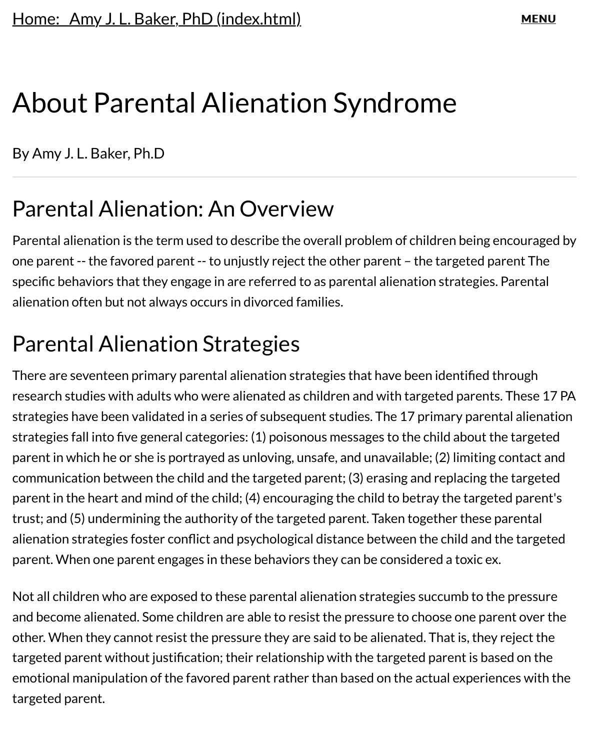### [About Parental Alienation Syndrom](https://www.amyjlbaker.com/index.html)e

By Amy J. L. Baker, Ph.D

## Parental Alienation: An Overview

Parental alienation is the term used to describe the overall problem of children being e one parent -- the favored parent -- to unjustly reject the other parent - the targeted pa specific behaviors that they engage in are referred to as parental alienation strategies. alienation often but not always occurs in divorced families.

## Parental Alienation Strategies

There are seventeen primary parental alienation strategies that have been identified th research studies with adults who were alienated as children and with targeted parents strategies have been validated in a series of subsequent studies. The 17 primary parent strategies fall into five general categories: (1) poisonous messages to the child about th parent in which he or she is portrayed as unloving, unsafe, and unavailable; (2) limiting  $\alpha$ communication between the child and the targeted parent; (3) erasing and replacing the parent in the heart and mind of the child; (4) encouraging the child to betray the targeted trust; and (5) undermining the authority of the targeted parent. Taken together these p alienation strategies foster conflict and psychological distance between the child and t parent. When one parent engages in these behaviors they can be considered a toxic ex.

Not all children who are exposed to these parental alienation strategies succumb to the and become alienated. Some children are able to resist the pressure to choose one pare other. When they cannot resist the pressure they are said to be alienated. That is, they targeted parent without justification; their relationship with the targeted parent is bas emotional manipulation of the favored parent rather than based on the actual experien targeted parent.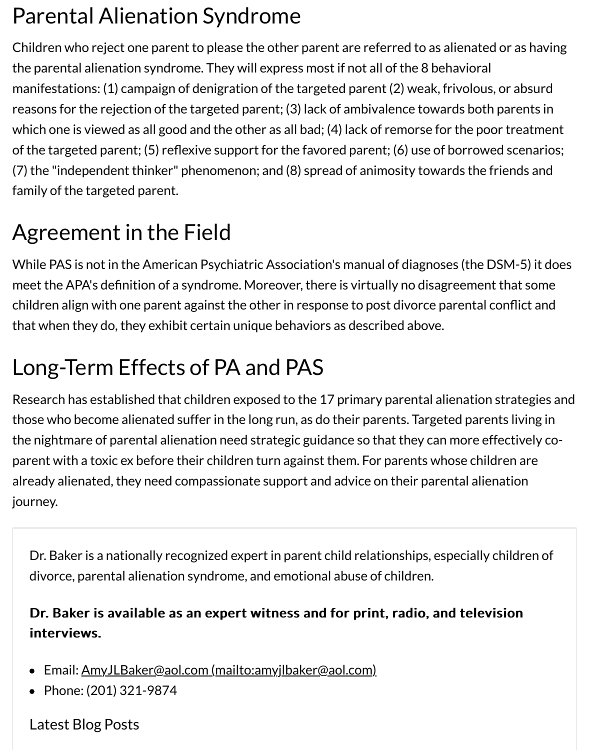reasons for the rejection of the targeted parent; (3) lack of ambivalence towards both  $p$ which one is viewed as all good and the other as all bad; (4) lack of remorse for the poor of the targeted parent; (5) reflexive support for the favored parent; (6) use of borrowed (7) the "independent thinker" phenomenon; and (8) spread of animosity towards the friends family of the targeted parent.

# Agreement in the Field

While PAS is not in the American Psychiatric Association's manual of diagnoses (the DS meet the APA's definition of a syndrome. Moreover, there is virtually no disagreement children align with one parent against the other in response to post divorce parental co that when they do, they exhibit certain unique behaviors as described above.

# Long-Term Effects of PA and PAS

Research has established that children exposed to the 17 primary parental alienation s those who become alienated suffer in the long run, as do their parents. Targeted parent the nightmare of parental alienation need strategic guidance so that they can more effectively parent with a toxic ex before their children turn against them. For parents whose children area area area are already alienated, they need compassionate support and advice on their parental alien journey.

Dr. Baker is a nationally recognized expert in parent child relationships, especially children of the original divorce, parental alienation syndrome, and emotional abuse of children.

#### Dr. Baker is available as an expert witness and for print, radio, and televis interviews.

- Email: AmyJLBaker@aol.com (mailto:amyjlbaker@aol.com)
- Phone: (201) 321-9874

Latest Blog Posts